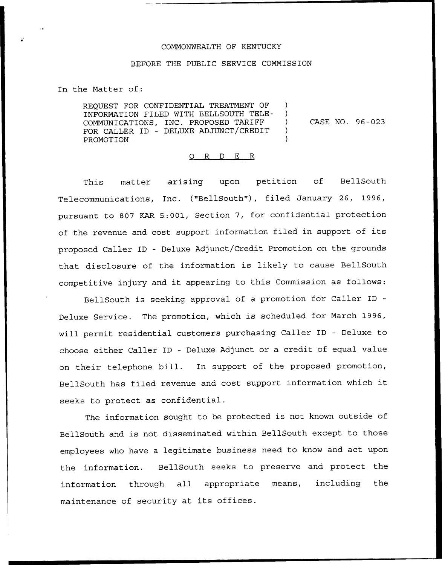## COMMONWEALTH OF KENTUCKY

## BEFORE THE PUBLIC SERVICE COMMISSION

In the Matter of:

REQUEST FOR CONFIDENTIAL TREATMENT OF INFORMATION FILED WITH BELLSOUTH TELE-COMMUNICATIONS, INC. PROPOSED TARIFF FOR CALLER ID — DELUXE ADJUNCT/CREDIT PROMOTION

CASE NO. 96-023

Δ.  $\mathcal{L}$  $\mathcal{E}$ 

## 0 R <sup>D</sup> E R

This matter arising upon petition of BellSouth Telecommunications, Inc. {"BellSouth"), filed January 26, 1996, pursuant to 807 KAR 5:001, Section 7, for confidential protection of the revenue and cost support information filed in support of its proposed Caller ID — Deluxe Adjunct/Credit Promotion on the grounds that disclosure of the information is likely to cause BellSouth competitive injury and it appearing to this Commission as follows:

BellSouth is seeking approval of a promotion for Caller ID Deluxe Service. The promotion, which is scheduled for March 1996, will permit residential customers purchasing Caller ID — Deluxe to choose either Caller ID — Deluxe Adjunct or a credit of equal value on their telephone bill. In support of the proposed promotion, BellSouth has filed revenue and cost support information which it seeks to protect as confidential.

The information sought to be protected is not known outside of BellSouth and is not disseminated within BellSouth except to those employees who have a legitimate business need to know and act upon the information. BellSouth seeks to preserve and protect the information through all appropriate means, including the maintenance of security at its offices.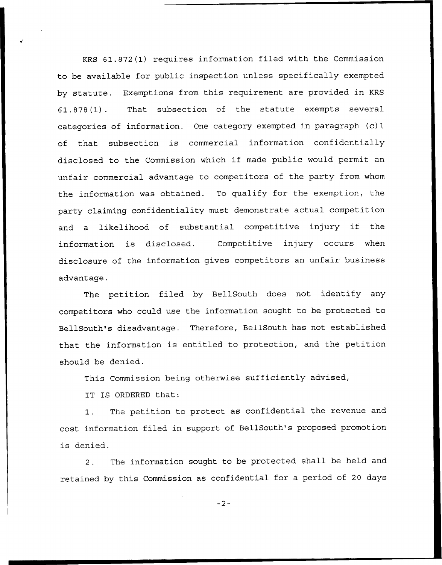KRS 61.872(1) requires information filed with the Commission to be available for public inspection unless specifically exempted by statute. Exemptions from this requirement are provided in KRS 61.878(1). That subsection of the statute exempts several categories of information. One category exempted in paragraph (c) 1 of that subsection is commercial information confidentially disclosed to the Commission which if made public would permit an unfair commercial advantage to competitors of the party from whom the information was obtained. To qualify for the exemption, the party claiming confidentiality must demonstrate actual competition and <sup>a</sup> likelihood of substantial competitive injury if the information is disclosed. Competitive injury occurs when disclosure of the information gives competitors an unfair business advantage.

The petition filed by BellSouth does not identify any competitors who could use the information sought to be protected to BellSouth's disadvantage. Therefore, BellSouth has not established that the information is entitled to protection, and the petition should be denied.

This Commission being otherwise sufficiently advised,

IT IS ORDERED that:

1. The petition to protect as confidential the revenue and cost information filed in support of BellSouth's proposed promotion is denied.

2. The information sought to be protected shall be held and retained by this Commission as confidential for a period of 20 days

 $-2-$